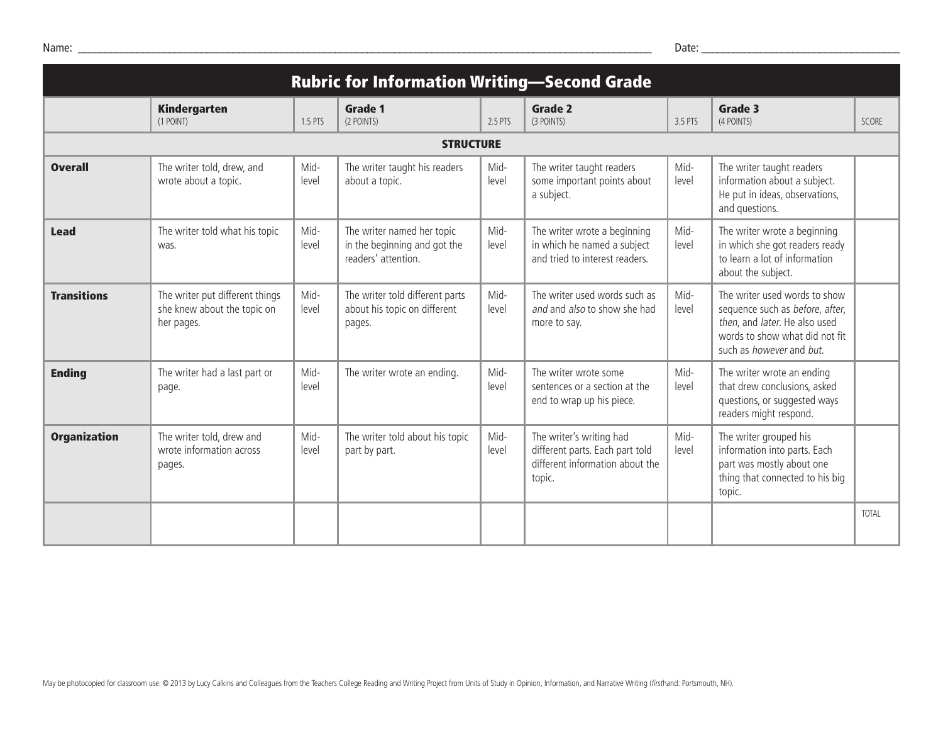Name: \_\_\_\_\_\_\_\_\_\_\_\_\_\_\_\_\_\_\_\_\_\_\_\_\_\_\_\_\_\_\_\_\_\_\_\_\_\_\_\_\_\_\_\_\_\_\_\_\_\_\_\_\_\_\_\_\_\_\_\_\_\_\_\_\_\_\_\_\_\_\_\_\_\_\_\_\_\_\_\_\_\_\_\_\_\_\_\_\_\_\_\_\_\_\_\_\_\_\_\_\_\_\_\_\_\_\_ Date: \_\_\_\_\_\_\_\_\_\_\_\_\_\_\_\_\_\_\_\_\_\_\_\_\_\_\_\_\_\_\_\_\_\_\_\_\_

|                     |                                                                              |               | <b>Rubric for Information Writing-Second Grade</b>                                |               |                                                                                                          |               |                                                                                                                                                                 |              |
|---------------------|------------------------------------------------------------------------------|---------------|-----------------------------------------------------------------------------------|---------------|----------------------------------------------------------------------------------------------------------|---------------|-----------------------------------------------------------------------------------------------------------------------------------------------------------------|--------------|
|                     | Kindergarten<br>(1 POINT)                                                    | 1.5 PTS       | <b>Grade 1</b><br>(2 POINTS)                                                      | 2.5 PTS       | <b>Grade 2</b><br>(3 POINTS)                                                                             | 3.5 PTS       | Grade 3<br>(4 POINTS)                                                                                                                                           | SCORE        |
|                     | <b>STRUCTURE</b>                                                             |               |                                                                                   |               |                                                                                                          |               |                                                                                                                                                                 |              |
| <b>Overall</b>      | The writer told, drew, and<br>wrote about a topic.                           | Mid-<br>level | The writer taught his readers<br>about a topic.                                   | Mid-<br>level | The writer taught readers<br>some important points about<br>a subject.                                   | Mid-<br>level | The writer taught readers<br>information about a subject.<br>He put in ideas, observations,<br>and questions.                                                   |              |
| <b>Lead</b>         | The writer told what his topic<br>was.                                       | Mid-<br>level | The writer named her topic<br>in the beginning and got the<br>readers' attention. | Mid-<br>level | The writer wrote a beginning<br>in which he named a subject<br>and tried to interest readers.            | Mid-<br>level | The writer wrote a beginning<br>in which she got readers ready<br>to learn a lot of information<br>about the subject.                                           |              |
| <b>Transitions</b>  | The writer put different things<br>she knew about the topic on<br>her pages. | Mid-<br>level | The writer told different parts<br>about his topic on different<br>pages.         | Mid-<br>level | The writer used words such as<br>and and also to show she had<br>more to say.                            | Mid-<br>level | The writer used words to show<br>sequence such as before, after,<br>then, and later. He also used<br>words to show what did not fit<br>such as however and but. |              |
| <b>Ending</b>       | The writer had a last part or<br>page.                                       | Mid-<br>level | The writer wrote an ending.                                                       | Mid-<br>level | The writer wrote some<br>sentences or a section at the<br>end to wrap up his piece.                      | Mid-<br>level | The writer wrote an ending<br>that drew conclusions, asked<br>questions, or suggested ways<br>readers might respond.                                            |              |
| <b>Organization</b> | The writer told, drew and<br>wrote information across<br>pages.              | Mid-<br>level | The writer told about his topic<br>part by part.                                  | Mid-<br>level | The writer's writing had<br>different parts. Each part told<br>different information about the<br>topic. | Mid-<br>level | The writer grouped his<br>information into parts. Each<br>part was mostly about one<br>thing that connected to his big<br>topic.                                |              |
|                     |                                                                              |               |                                                                                   |               |                                                                                                          |               |                                                                                                                                                                 | <b>TOTAL</b> |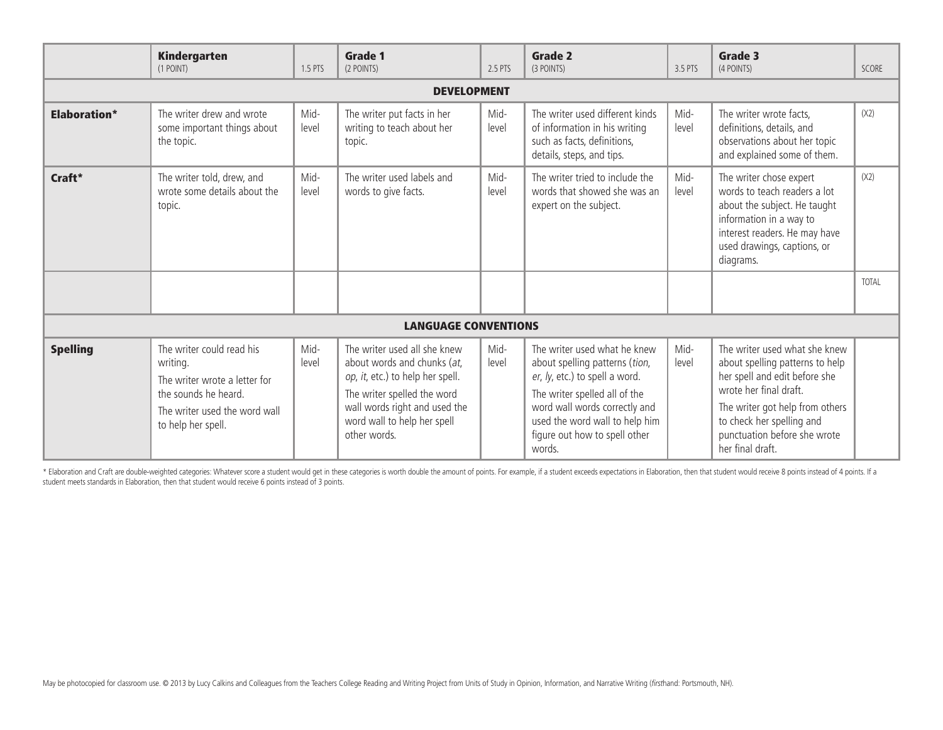|                             | <b>Kindergarten</b><br>$(1$ POINT)                                                                                                                    | 1.5 PTS       | <b>Grade 1</b><br>(2 POINTS)                                                                                                                                                                                   | 2.5 PTS       | Grade 2<br>(3 POINTS)                                                                                                                                                                                                                           | 3.5 PTS       | Grade 3<br>(4 POINTS)                                                                                                                                                                                                                           | SCORE        |
|-----------------------------|-------------------------------------------------------------------------------------------------------------------------------------------------------|---------------|----------------------------------------------------------------------------------------------------------------------------------------------------------------------------------------------------------------|---------------|-------------------------------------------------------------------------------------------------------------------------------------------------------------------------------------------------------------------------------------------------|---------------|-------------------------------------------------------------------------------------------------------------------------------------------------------------------------------------------------------------------------------------------------|--------------|
| <b>DEVELOPMENT</b>          |                                                                                                                                                       |               |                                                                                                                                                                                                                |               |                                                                                                                                                                                                                                                 |               |                                                                                                                                                                                                                                                 |              |
| <b>Elaboration*</b>         | The writer drew and wrote<br>some important things about<br>the topic.                                                                                | Mid-<br>level | The writer put facts in her<br>writing to teach about her<br>topic.                                                                                                                                            | Mid-<br>level | The writer used different kinds<br>of information in his writing<br>such as facts, definitions,<br>details, steps, and tips.                                                                                                                    | Mid-<br>level | The writer wrote facts,<br>definitions, details, and<br>observations about her topic<br>and explained some of them.                                                                                                                             | (X2)         |
| Craft*                      | The writer told, drew, and<br>wrote some details about the<br>topic.                                                                                  | Mid-<br>level | The writer used labels and<br>words to give facts.                                                                                                                                                             | Mid-<br>level | The writer tried to include the<br>words that showed she was an<br>expert on the subject.                                                                                                                                                       | Mid-<br>level | The writer chose expert<br>words to teach readers a lot<br>about the subject. He taught<br>information in a way to<br>interest readers. He may have<br>used drawings, captions, or<br>diagrams.                                                 | (X2)         |
|                             |                                                                                                                                                       |               |                                                                                                                                                                                                                |               |                                                                                                                                                                                                                                                 |               |                                                                                                                                                                                                                                                 | <b>TOTAL</b> |
| <b>LANGUAGE CONVENTIONS</b> |                                                                                                                                                       |               |                                                                                                                                                                                                                |               |                                                                                                                                                                                                                                                 |               |                                                                                                                                                                                                                                                 |              |
| <b>Spelling</b>             | The writer could read his<br>writing.<br>The writer wrote a letter for<br>the sounds he heard.<br>The writer used the word wall<br>to help her spell. | Mid-<br>level | The writer used all she knew<br>about words and chunks (at,<br>op, it, etc.) to help her spell.<br>The writer spelled the word<br>wall words right and used the<br>word wall to help her spell<br>other words. | Mid-<br>level | The writer used what he knew<br>about spelling patterns (tion,<br>er, ly, etc.) to spell a word.<br>The writer spelled all of the<br>word wall words correctly and<br>used the word wall to help him<br>figure out how to spell other<br>words. | Mid-<br>level | The writer used what she knew<br>about spelling patterns to help<br>her spell and edit before she<br>wrote her final draft.<br>The writer got help from others<br>to check her spelling and<br>punctuation before she wrote<br>her final draft. |              |

\* Elaboration and Craft are double-weighted categories: Whatever score a student would get in these categories is worth double the amount of points. For example, if a student exceeds expectations in Elaboration, then that student meets standards in Elaboration, then that student would receive 6 points instead of 3 points.